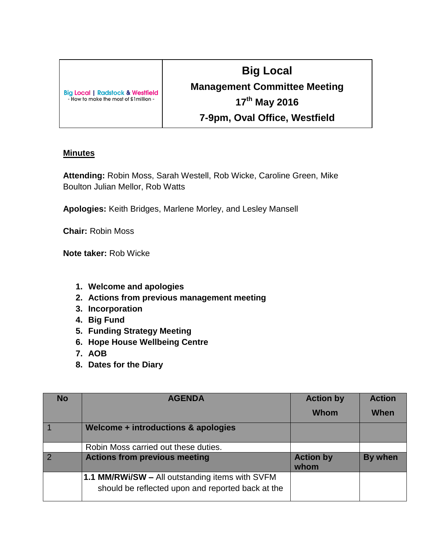| <b>Big Local   Radstock &amp; Westfield</b><br>- How to make the most of £1 million - |
|---------------------------------------------------------------------------------------|
|                                                                                       |

## **Big Local Management Committee Meeting 17th May 2016 7-9pm, Oval Office, Westfield**

## **Minutes**

**Attending:** Robin Moss, Sarah Westell, Rob Wicke, Caroline Green, Mike Boulton Julian Mellor, Rob Watts

**Apologies:** Keith Bridges, Marlene Morley, and Lesley Mansell

**Chair:** Robin Moss

**Note taker:** Rob Wicke

- **1. Welcome and apologies**
- **2. Actions from previous management meeting**
- **3. Incorporation**
- **4. Big Fund**
- **5. Funding Strategy Meeting**
- **6. Hope House Wellbeing Centre**
- **7. AOB**
- **8. Dates for the Diary**

| <b>No</b>      | <b>AGENDA</b>                                                                                        | <b>Action by</b>         | <b>Action</b> |
|----------------|------------------------------------------------------------------------------------------------------|--------------------------|---------------|
|                |                                                                                                      | Whom                     | When          |
|                | Welcome + introductions & apologies                                                                  |                          |               |
|                | Robin Moss carried out these duties.                                                                 |                          |               |
| $\overline{2}$ | <b>Actions from previous meeting</b>                                                                 | <b>Action by</b><br>whom | By when       |
|                | 1.1 MM/RWi/SW - All outstanding items with SVFM<br>should be reflected upon and reported back at the |                          |               |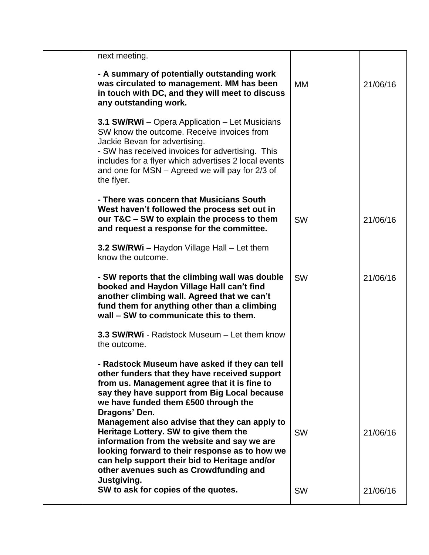| next meeting.                                                                                                                                                                                                                                                                                              |           |          |
|------------------------------------------------------------------------------------------------------------------------------------------------------------------------------------------------------------------------------------------------------------------------------------------------------------|-----------|----------|
| - A summary of potentially outstanding work<br>was circulated to management. MM has been<br>in touch with DC, and they will meet to discuss<br>any outstanding work.                                                                                                                                       | MM        | 21/06/16 |
| 3.1 SW/RWI - Opera Application - Let Musicians<br>SW know the outcome. Receive invoices from<br>Jackie Bevan for advertising.<br>- SW has received invoices for advertising. This<br>includes for a flyer which advertises 2 local events<br>and one for MSN - Agreed we will pay for 2/3 of<br>the flyer. |           |          |
| - There was concern that Musicians South<br>West haven't followed the process set out in<br>our T&C - SW to explain the process to them<br>and request a response for the committee.                                                                                                                       | <b>SW</b> | 21/06/16 |
| 3.2 SW/RWi - Haydon Village Hall - Let them<br>know the outcome.                                                                                                                                                                                                                                           |           |          |
| - SW reports that the climbing wall was double<br>booked and Haydon Village Hall can't find<br>another climbing wall. Agreed that we can't<br>fund them for anything other than a climbing<br>wall – SW to communicate this to them.                                                                       | <b>SW</b> | 21/06/16 |
| 3.3 SW/RWi - Radstock Museum - Let them know<br>the outcome.                                                                                                                                                                                                                                               |           |          |
| - Radstock Museum have asked if they can tell<br>other funders that they have received support<br>from us. Management agree that it is fine to<br>say they have support from Big Local because<br>we have funded them £500 through the<br>Dragons' Den.                                                    |           |          |
| Management also advise that they can apply to<br>Heritage Lottery. SW to give them the<br>information from the website and say we are<br>looking forward to their response as to how we<br>can help support their bid to Heritage and/or<br>other avenues such as Crowdfunding and<br>Justgiving.          | <b>SW</b> | 21/06/16 |
| SW to ask for copies of the quotes.                                                                                                                                                                                                                                                                        | <b>SW</b> | 21/06/16 |
|                                                                                                                                                                                                                                                                                                            |           |          |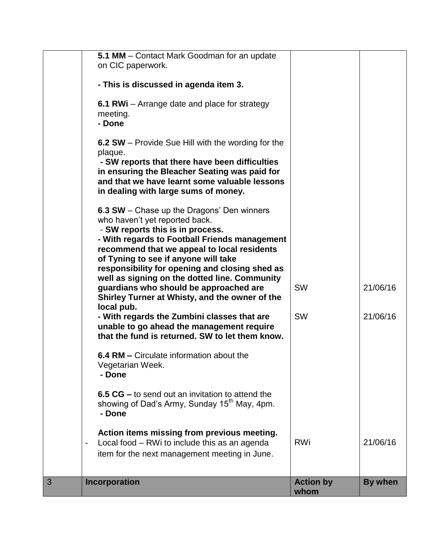| 3 | Incorporation                                                                                                                                                                                                                                                                                                                                                                         | <b>Action by</b><br>whom | By when  |
|---|---------------------------------------------------------------------------------------------------------------------------------------------------------------------------------------------------------------------------------------------------------------------------------------------------------------------------------------------------------------------------------------|--------------------------|----------|
|   | Action items missing from previous meeting.<br>Local food - RWi to include this as an agenda<br>item for the next management meeting in June.                                                                                                                                                                                                                                         | <b>RWi</b>               | 21/06/16 |
|   | 6.5 CG – to send out an invitation to attend the<br>showing of Dad's Army, Sunday 15 <sup>th</sup> May, 4pm.<br>- Done                                                                                                                                                                                                                                                                |                          |          |
|   | 6.4 RM – Circulate information about the<br>Vegetarian Week.<br>- Done                                                                                                                                                                                                                                                                                                                |                          |          |
|   | - With regards the Zumbini classes that are<br>unable to go ahead the management require<br>that the fund is returned. SW to let them know.                                                                                                                                                                                                                                           | <b>SW</b>                | 21/06/16 |
|   | - SW reports this is in process.<br>- With regards to Football Friends management<br>recommend that we appeal to local residents<br>of Tyning to see if anyone will take<br>responsibility for opening and closing shed as<br>well as signing on the dotted line. Community<br>guardians who should be approached are<br>Shirley Turner at Whisty, and the owner of the<br>local pub. | <b>SW</b>                | 21/06/16 |
|   | 6.3 SW - Chase up the Dragons' Den winners<br>who haven't yet reported back.                                                                                                                                                                                                                                                                                                          |                          |          |
|   | 6.2 SW – Provide Sue Hill with the wording for the<br>plaque.<br>- SW reports that there have been difficulties<br>in ensuring the Bleacher Seating was paid for<br>and that we have learnt some valuable lessons<br>in dealing with large sums of money.                                                                                                                             |                          |          |
|   | 6.1 RWi – Arrange date and place for strategy<br>meeting.<br>- Done                                                                                                                                                                                                                                                                                                                   |                          |          |
|   | - This is discussed in agenda item 3.                                                                                                                                                                                                                                                                                                                                                 |                          |          |
|   | 5.1 MM - Contact Mark Goodman for an update<br>on CIC paperwork.                                                                                                                                                                                                                                                                                                                      |                          |          |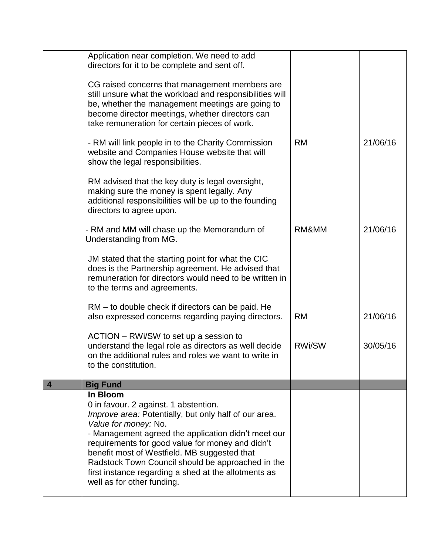|                | Application near completion. We need to add<br>directors for it to be complete and sent off.                                                                                                                                                                                                                                                                                                                                             |               |          |
|----------------|------------------------------------------------------------------------------------------------------------------------------------------------------------------------------------------------------------------------------------------------------------------------------------------------------------------------------------------------------------------------------------------------------------------------------------------|---------------|----------|
|                | CG raised concerns that management members are<br>still unsure what the workload and responsibilities will<br>be, whether the management meetings are going to<br>become director meetings, whether directors can<br>take remuneration for certain pieces of work.                                                                                                                                                                       |               |          |
|                | - RM will link people in to the Charity Commission<br>website and Companies House website that will<br>show the legal responsibilities.                                                                                                                                                                                                                                                                                                  | <b>RM</b>     | 21/06/16 |
|                | RM advised that the key duty is legal oversight,<br>making sure the money is spent legally. Any<br>additional responsibilities will be up to the founding<br>directors to agree upon.                                                                                                                                                                                                                                                    |               |          |
|                | - RM and MM will chase up the Memorandum of<br>Understanding from MG.                                                                                                                                                                                                                                                                                                                                                                    | RM&MM         | 21/06/16 |
|                | JM stated that the starting point for what the CIC<br>does is the Partnership agreement. He advised that<br>remuneration for directors would need to be written in<br>to the terms and agreements.                                                                                                                                                                                                                                       |               |          |
|                | RM – to double check if directors can be paid. He<br>also expressed concerns regarding paying directors.                                                                                                                                                                                                                                                                                                                                 | <b>RM</b>     | 21/06/16 |
|                | ACTION – RWI/SW to set up a session to<br>understand the legal role as directors as well decide<br>on the additional rules and roles we want to write in<br>to the constitution.                                                                                                                                                                                                                                                         | <b>RWi/SW</b> | 30/05/16 |
| $\overline{4}$ | <b>Big Fund</b>                                                                                                                                                                                                                                                                                                                                                                                                                          |               |          |
|                | In Bloom<br>0 in favour. 2 against. 1 abstention.<br>Improve area: Potentially, but only half of our area.<br>Value for money: No.<br>- Management agreed the application didn't meet our<br>requirements for good value for money and didn't<br>benefit most of Westfield. MB suggested that<br>Radstock Town Council should be approached in the<br>first instance regarding a shed at the allotments as<br>well as for other funding. |               |          |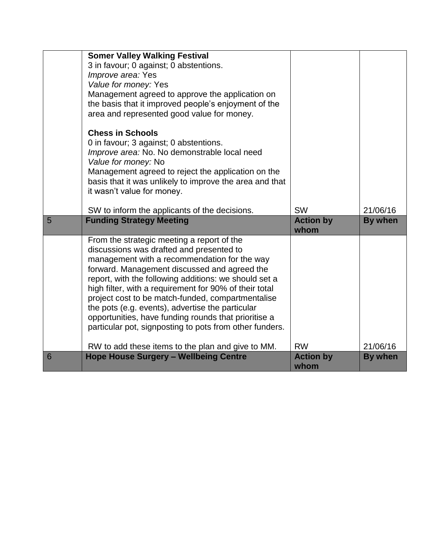|   | <b>Somer Valley Walking Festival</b><br>3 in favour; 0 against; 0 abstentions.<br>Improve area: Yes<br>Value for money: Yes<br>Management agreed to approve the application on<br>the basis that it improved people's enjoyment of the<br>area and represented good value for money.<br><b>Chess in Schools</b><br>0 in favour; 3 against; 0 abstentions.                                                                                                                                                                             |                               |                            |
|---|---------------------------------------------------------------------------------------------------------------------------------------------------------------------------------------------------------------------------------------------------------------------------------------------------------------------------------------------------------------------------------------------------------------------------------------------------------------------------------------------------------------------------------------|-------------------------------|----------------------------|
|   | Improve area: No. No demonstrable local need<br>Value for money: No<br>Management agreed to reject the application on the<br>basis that it was unlikely to improve the area and that<br>it wasn't value for money.<br>SW to inform the applicants of the decisions.                                                                                                                                                                                                                                                                   | <b>SW</b>                     | 21/06/16                   |
| 5 | <b>Funding Strategy Meeting</b>                                                                                                                                                                                                                                                                                                                                                                                                                                                                                                       | <b>Action by</b>              | By when                    |
|   |                                                                                                                                                                                                                                                                                                                                                                                                                                                                                                                                       | whom                          |                            |
|   | From the strategic meeting a report of the<br>discussions was drafted and presented to<br>management with a recommendation for the way<br>forward. Management discussed and agreed the<br>report, with the following additions: we should set a<br>high filter, with a requirement for 90% of their total<br>project cost to be match-funded, compartmentalise<br>the pots (e.g. events), advertise the particular<br>opportunities, have funding rounds that prioritise a<br>particular pot, signposting to pots from other funders. |                               |                            |
|   | RW to add these items to the plan and give to MM.<br><b>Hope House Surgery - Wellbeing Centre</b>                                                                                                                                                                                                                                                                                                                                                                                                                                     | <b>RW</b><br><b>Action by</b> | 21/06/16<br><b>By when</b> |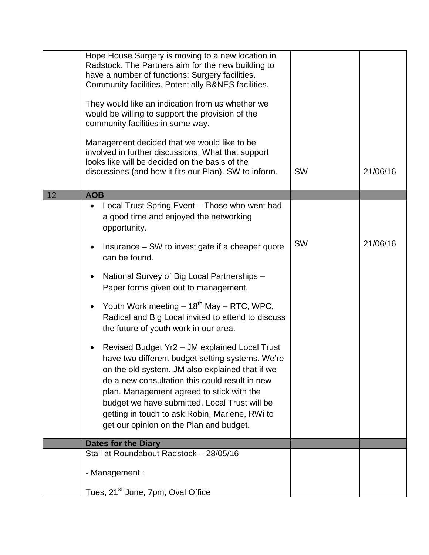|    | Hope House Surgery is moving to a new location in<br>Radstock. The Partners aim for the new building to<br>have a number of functions: Surgery facilities.<br>Community facilities. Potentially B&NES facilities.<br>They would like an indication from us whether we<br>would be willing to support the provision of the<br>community facilities in some way.<br>Management decided that we would like to be<br>involved in further discussions. What that support<br>looks like will be decided on the basis of the |           |          |
|----|-----------------------------------------------------------------------------------------------------------------------------------------------------------------------------------------------------------------------------------------------------------------------------------------------------------------------------------------------------------------------------------------------------------------------------------------------------------------------------------------------------------------------|-----------|----------|
|    | discussions (and how it fits our Plan). SW to inform.                                                                                                                                                                                                                                                                                                                                                                                                                                                                 | <b>SW</b> | 21/06/16 |
| 12 | <b>AOB</b>                                                                                                                                                                                                                                                                                                                                                                                                                                                                                                            |           |          |
|    | Local Trust Spring Event - Those who went had<br>a good time and enjoyed the networking<br>opportunity.                                                                                                                                                                                                                                                                                                                                                                                                               |           |          |
|    | Insurance – SW to investigate if a cheaper quote<br>٠<br>can be found.                                                                                                                                                                                                                                                                                                                                                                                                                                                | SW        | 21/06/16 |
|    | National Survey of Big Local Partnerships -<br>$\bullet$<br>Paper forms given out to management.                                                                                                                                                                                                                                                                                                                                                                                                                      |           |          |
|    | Youth Work meeting $-18^{th}$ May $-$ RTC, WPC,<br>$\bullet$<br>Radical and Big Local invited to attend to discuss<br>the future of youth work in our area.                                                                                                                                                                                                                                                                                                                                                           |           |          |
|    | Revised Budget Yr2 - JM explained Local Trust<br>$\bullet$<br>have two different budget setting systems. We're<br>on the old system. JM also explained that if we<br>do a new consultation this could result in new<br>plan. Management agreed to stick with the<br>budget we have submitted. Local Trust will be<br>getting in touch to ask Robin, Marlene, RWi to<br>get our opinion on the Plan and budget.                                                                                                        |           |          |
|    | <b>Dates for the Diary</b>                                                                                                                                                                                                                                                                                                                                                                                                                                                                                            |           |          |
|    | Stall at Roundabout Radstock - 28/05/16                                                                                                                                                                                                                                                                                                                                                                                                                                                                               |           |          |
|    | - Management :                                                                                                                                                                                                                                                                                                                                                                                                                                                                                                        |           |          |
|    | Tues, 21 <sup>st</sup> June, 7pm, Oval Office                                                                                                                                                                                                                                                                                                                                                                                                                                                                         |           |          |